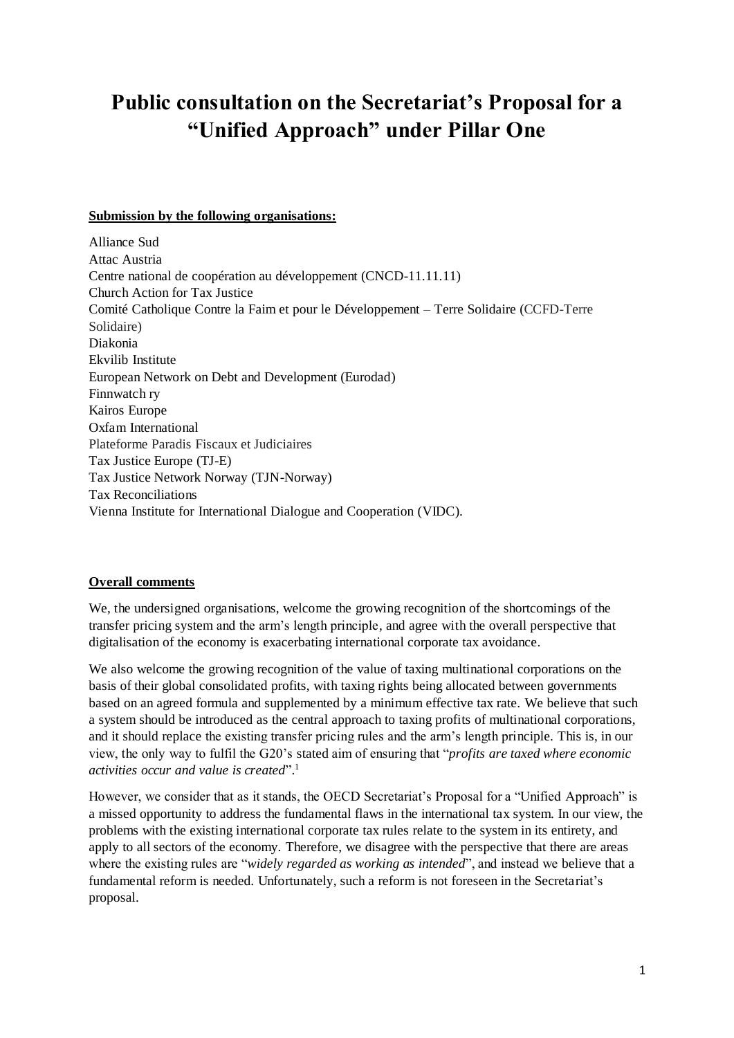# **Public consultation on the Secretariat's Proposal for a "Unified Approach" under Pillar One**

#### **Submission by the following organisations:**

Alliance Sud Attac Austria Centre national de coopération au développement (CNCD-11.11.11) Church Action for Tax Justice Comité Catholique Contre la Faim et pour le Développement – Terre Solidaire (CCFD-Terre Solidaire) Diakonia Ekvilib Institute European Network on Debt and Development (Eurodad) Finnwatch ry Kairos Europe Oxfam International Plateforme Paradis Fiscaux et Judiciaires Tax Justice Europe (TJ-E) Tax Justice Network Norway (TJN-Norway) Tax Reconciliations Vienna Institute for International Dialogue and Cooperation (VIDC).

#### **Overall comments**

We, the undersigned organisations, welcome the growing recognition of the shortcomings of the transfer pricing system and the arm's length principle, and agree with the overall perspective that digitalisation of the economy is exacerbating international corporate tax avoidance.

We also welcome the growing recognition of the value of taxing multinational corporations on the basis of their global consolidated profits, with taxing rights being allocated between governments based on an agreed formula and supplemented by a minimum effective tax rate. We believe that such a system should be introduced as the central approach to taxing profits of multinational corporations, and it should replace the existing transfer pricing rules and the arm's length principle. This is, in our view, the only way to fulfil the G20's stated aim of ensuring that "*profits are taxed where economic activities occur and value is created*". 1

However, we consider that as it stands, the OECD Secretariat's Proposal for a "Unified Approach" is a missed opportunity to address the fundamental flaws in the international tax system. In our view, the problems with the existing international corporate tax rules relate to the system in its entirety, and apply to all sectors of the economy. Therefore, we disagree with the perspective that there are areas where the existing rules are "*widely regarded as working as intended*", and instead we believe that a fundamental reform is needed. Unfortunately, such a reform is not foreseen in the Secretariat's proposal.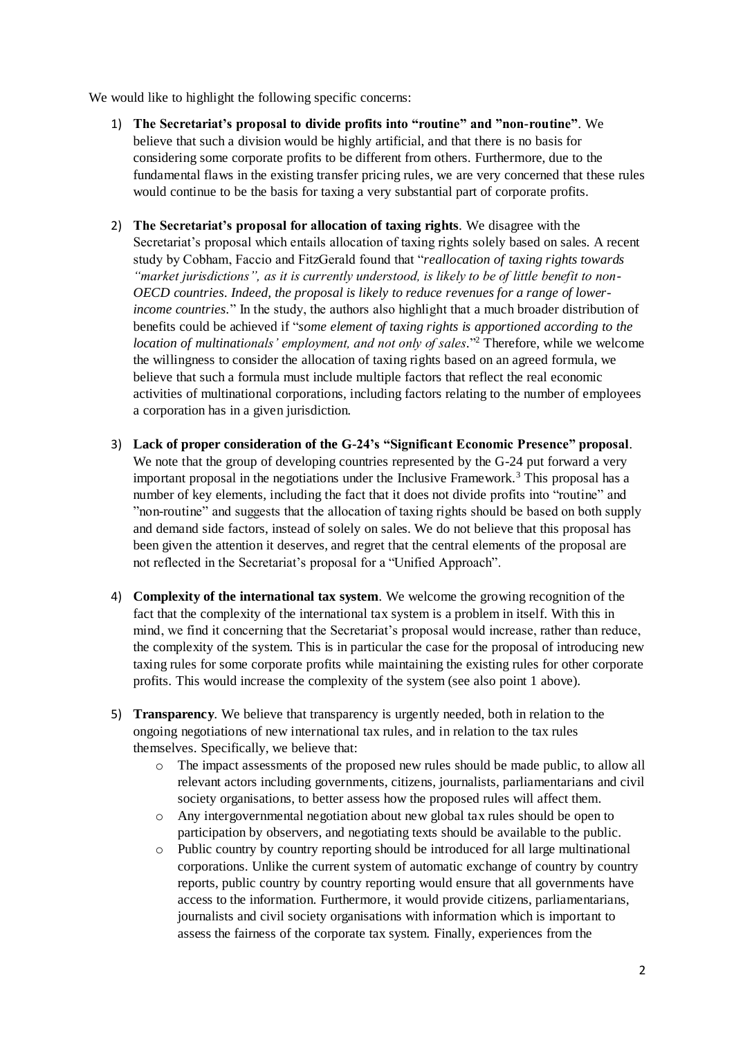We would like to highlight the following specific concerns:

- 1) **The Secretariat's proposal to divide profits into "routine" and "non-routine"**. We believe that such a division would be highly artificial, and that there is no basis for considering some corporate profits to be different from others. Furthermore, due to the fundamental flaws in the existing transfer pricing rules, we are very concerned that these rules would continue to be the basis for taxing a very substantial part of corporate profits.
- 2) **The Secretariat's proposal for allocation of taxing rights**. We disagree with the Secretariat's proposal which entails allocation of taxing rights solely based on sales. A recent study by Cobham, Faccio and FitzGerald found that "*reallocation of taxing rights towards "market jurisdictions", as it is currently understood, is likely to be of little benefit to non-OECD countries. Indeed, the proposal is likely to reduce revenues for a range of lowerincome countries.*" In the study, the authors also highlight that a much broader distribution of benefits could be achieved if "*some element of taxing rights is apportioned according to the location of multinationals' employment, and not only of sales*." <sup>2</sup> Therefore, while we welcome the willingness to consider the allocation of taxing rights based on an agreed formula, we believe that such a formula must include multiple factors that reflect the real economic activities of multinational corporations, including factors relating to the number of employees a corporation has in a given jurisdiction.
- 3) **Lack of proper consideration of the G-24's "Significant Economic Presence" proposal**. We note that the group of developing countries represented by the G-24 put forward a very important proposal in the negotiations under the Inclusive Framework.<sup>3</sup> This proposal has a number of key elements, including the fact that it does not divide profits into "routine" and "non-routine" and suggests that the allocation of taxing rights should be based on both supply and demand side factors, instead of solely on sales. We do not believe that this proposal has been given the attention it deserves, and regret that the central elements of the proposal are not reflected in the Secretariat's proposal for a "Unified Approach".
- 4) **Complexity of the international tax system**. We welcome the growing recognition of the fact that the complexity of the international tax system is a problem in itself. With this in mind, we find it concerning that the Secretariat's proposal would increase, rather than reduce, the complexity of the system. This is in particular the case for the proposal of introducing new taxing rules for some corporate profits while maintaining the existing rules for other corporate profits. This would increase the complexity of the system (see also point 1 above).
- 5) **Transparency**. We believe that transparency is urgently needed, both in relation to the ongoing negotiations of new international tax rules, and in relation to the tax rules themselves. Specifically, we believe that:
	- o The impact assessments of the proposed new rules should be made public, to allow all relevant actors including governments, citizens, journalists, parliamentarians and civil society organisations, to better assess how the proposed rules will affect them.
	- o Any intergovernmental negotiation about new global tax rules should be open to participation by observers, and negotiating texts should be available to the public.
	- o Public country by country reporting should be introduced for all large multinational corporations. Unlike the current system of automatic exchange of country by country reports, public country by country reporting would ensure that all governments have access to the information. Furthermore, it would provide citizens, parliamentarians, journalists and civil society organisations with information which is important to assess the fairness of the corporate tax system. Finally, experiences from the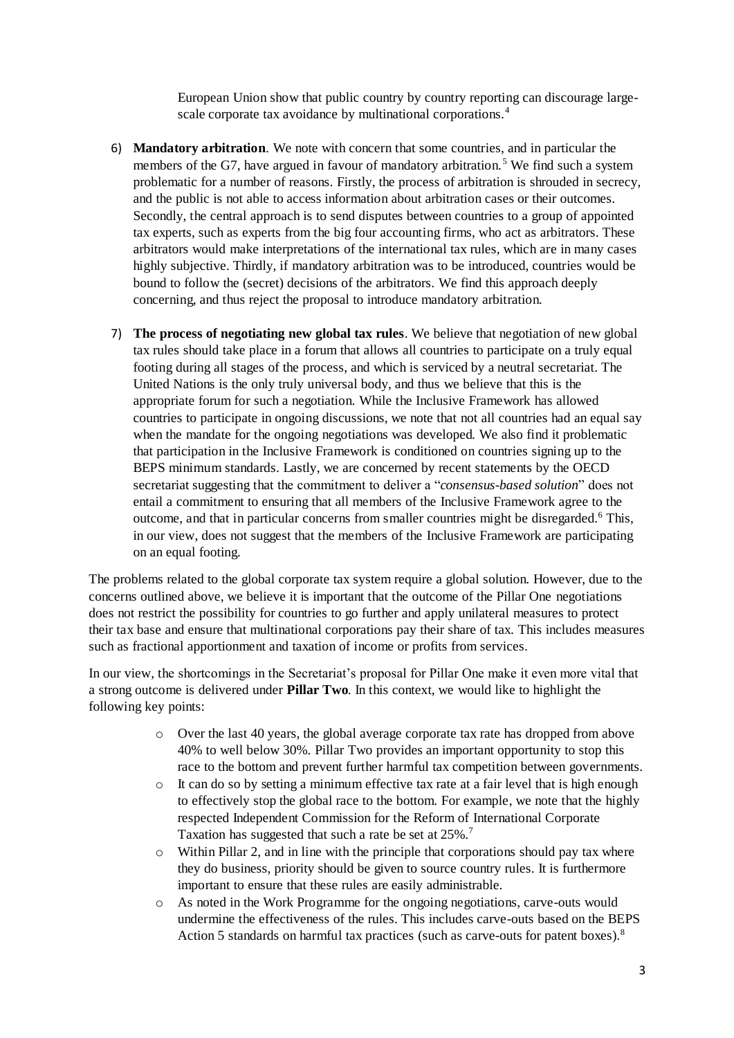European Union show that public country by country reporting can discourage largescale corporate tax avoidance by multinational corporations.<sup>4</sup>

- 6) **Mandatory arbitration**. We note with concern that some countries, and in particular the members of the G7, have argued in favour of mandatory arbitration.<sup>5</sup> We find such a system problematic for a number of reasons. Firstly, the process of arbitration is shrouded in secrecy, and the public is not able to access information about arbitration cases or their outcomes. Secondly, the central approach is to send disputes between countries to a group of appointed tax experts, such as experts from the big four accounting firms, who act as arbitrators. These arbitrators would make interpretations of the international tax rules, which are in many cases highly subjective. Thirdly, if mandatory arbitration was to be introduced, countries would be bound to follow the (secret) decisions of the arbitrators. We find this approach deeply concerning, and thus reject the proposal to introduce mandatory arbitration.
- 7) **The process of negotiating new global tax rules**. We believe that negotiation of new global tax rules should take place in a forum that allows all countries to participate on a truly equal footing during all stages of the process, and which is serviced by a neutral secretariat. The United Nations is the only truly universal body, and thus we believe that this is the appropriate forum for such a negotiation. While the Inclusive Framework has allowed countries to participate in ongoing discussions, we note that not all countries had an equal say when the mandate for the ongoing negotiations was developed. We also find it problematic that participation in the Inclusive Framework is conditioned on countries signing up to the BEPS minimum standards. Lastly, we are concerned by recent statements by the OECD secretariat suggesting that the commitment to deliver a "*consensus-based solution*" does not entail a commitment to ensuring that all members of the Inclusive Framework agree to the outcome, and that in particular concerns from smaller countries might be disregarded.<sup>6</sup> This, in our view, does not suggest that the members of the Inclusive Framework are participating on an equal footing.

The problems related to the global corporate tax system require a global solution. However, due to the concerns outlined above, we believe it is important that the outcome of the Pillar One negotiations does not restrict the possibility for countries to go further and apply unilateral measures to protect their tax base and ensure that multinational corporations pay their share of tax. This includes measures such as fractional apportionment and taxation of income or profits from services.

In our view, the shortcomings in the Secretariat's proposal for Pillar One make it even more vital that a strong outcome is delivered under **Pillar Two**. In this context, we would like to highlight the following key points:

- o Over the last 40 years, the global average corporate tax rate has dropped from above 40% to well below 30%. Pillar Two provides an important opportunity to stop this race to the bottom and prevent further harmful tax competition between governments.
- o It can do so by setting a minimum effective tax rate at a fair level that is high enough to effectively stop the global race to the bottom. For example, we note that the highly respected Independent Commission for the Reform of International Corporate Taxation has suggested that such a rate be set at 25%.<sup>7</sup>
- o Within Pillar 2, and in line with the principle that corporations should pay tax where they do business, priority should be given to source country rules. It is furthermore important to ensure that these rules are easily administrable.
- o As noted in the Work Programme for the ongoing negotiations, carve-outs would undermine the effectiveness of the rules. This includes carve-outs based on the BEPS Action 5 standards on harmful tax practices (such as carve-outs for patent boxes).<sup>8</sup>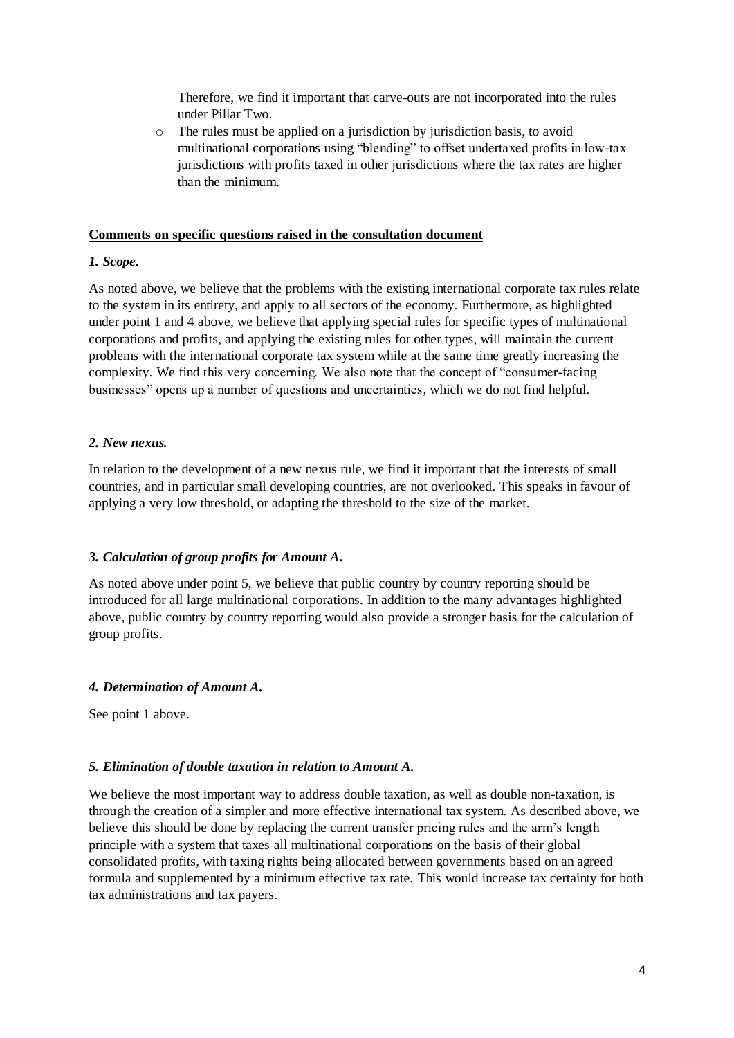Therefore, we find it important that carve-outs are not incorporated into the rules under Pillar Two.

o The rules must be applied on a jurisdiction by jurisdiction basis, to avoid multinational corporations using "blending" to offset undertaxed profits in low-tax jurisdictions with profits taxed in other jurisdictions where the tax rates are higher than the minimum.

#### **Comments on specific questions raised in the consultation document**

## *1. Scope.*

As noted above, we believe that the problems with the existing international corporate tax rules relate to the system in its entirety, and apply to all sectors of the economy. Furthermore, as highlighted under point 1 and 4 above, we believe that applying special rules for specific types of multinational corporations and profits, and applying the existing rules for other types, will maintain the current problems with the international corporate tax system while at the same time greatly increasing the complexity. We find this very concerning. We also note that the concept of "consumer-facing businesses" opens up a number of questions and uncertainties, which we do not find helpful.

# *2. New nexus.*

In relation to the development of a new nexus rule, we find it important that the interests of small countries, and in particular small developing countries, are not overlooked. This speaks in favour of applying a very low threshold, or adapting the threshold to the size of the market.

# *3. Calculation of group profits for Amount A.*

As noted above under point 5, we believe that public country by country reporting should be introduced for all large multinational corporations. In addition to the many advantages highlighted above, public country by country reporting would also provide a stronger basis for the calculation of group profits.

# *4. Determination of Amount A.*

See point 1 above.

# *5. Elimination of double taxation in relation to Amount A.*

We believe the most important way to address double taxation, as well as double non-taxation, is through the creation of a simpler and more effective international tax system. As described above, we believe this should be done by replacing the current transfer pricing rules and the arm's length principle with a system that taxes all multinational corporations on the basis of their global consolidated profits, with taxing rights being allocated between governments based on an agreed formula and supplemented by a minimum effective tax rate. This would increase tax certainty for both tax administrations and tax payers.